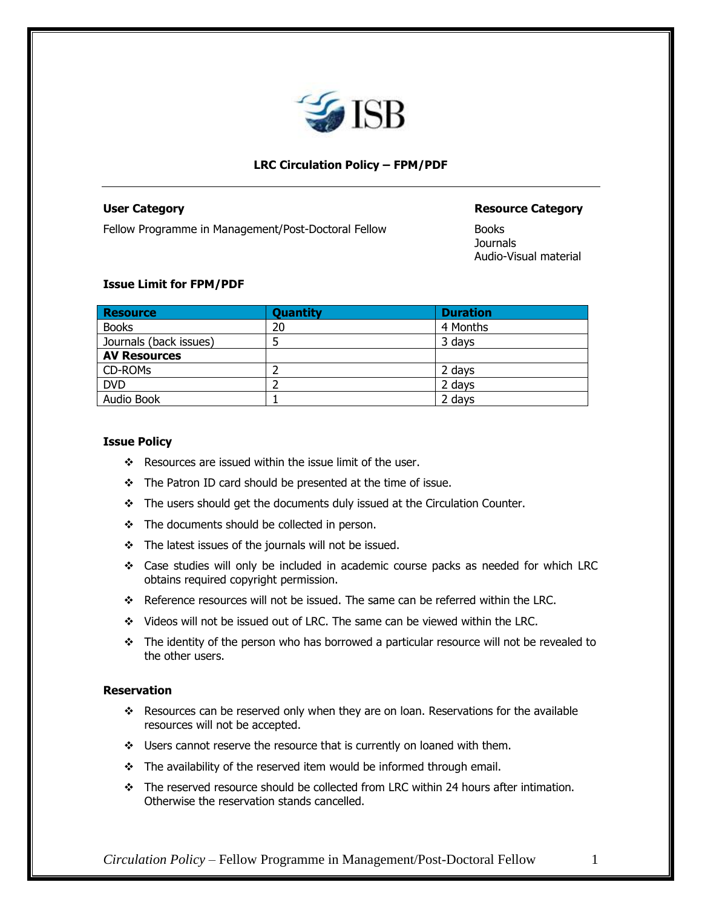

# **LRC Circulation Policy – FPM/PDF**

Fellow Programme in Management/Post-Doctoral Fellow Books

## **User Category Resource Category Resource Category**

**Journals** Audio-Visual material

## **Issue Limit for FPM/PDF**

| <b>Resource</b>        | <b>Quantity</b> | <b>Duration</b> |
|------------------------|-----------------|-----------------|
| <b>Books</b>           | 20              | 4 Months        |
| Journals (back issues) |                 | 3 days          |
| <b>AV Resources</b>    |                 |                 |
| CD-ROMs                |                 | 2 days          |
| <b>DVD</b>             |                 | 2 days          |
| Audio Book             |                 | 2 days          |

#### **Issue Policy**

- ❖ Resources are issued within the issue limit of the user.
- ❖ The Patron ID card should be presented at the time of issue.
- ❖ The users should get the documents duly issued at the Circulation Counter.
- ❖ The documents should be collected in person.
- ❖ The latest issues of the journals will not be issued.
- ❖ Case studies will only be included in academic course packs as needed for which LRC obtains required copyright permission.
- ❖ Reference resources will not be issued. The same can be referred within the LRC.
- ❖ Videos will not be issued out of LRC. The same can be viewed within the LRC.
- ❖ The identity of the person who has borrowed a particular resource will not be revealed to the other users.

## **Reservation**

- ❖ Resources can be reserved only when they are on loan. Reservations for the available resources will not be accepted.
- ❖ Users cannot reserve the resource that is currently on loaned with them.
- ❖ The availability of the reserved item would be informed through email.
- ❖ The reserved resource should be collected from LRC within 24 hours after intimation. Otherwise the reservation stands cancelled.

*Circulation Policy –* Fellow Programme in Management/Post-Doctoral Fellow 1